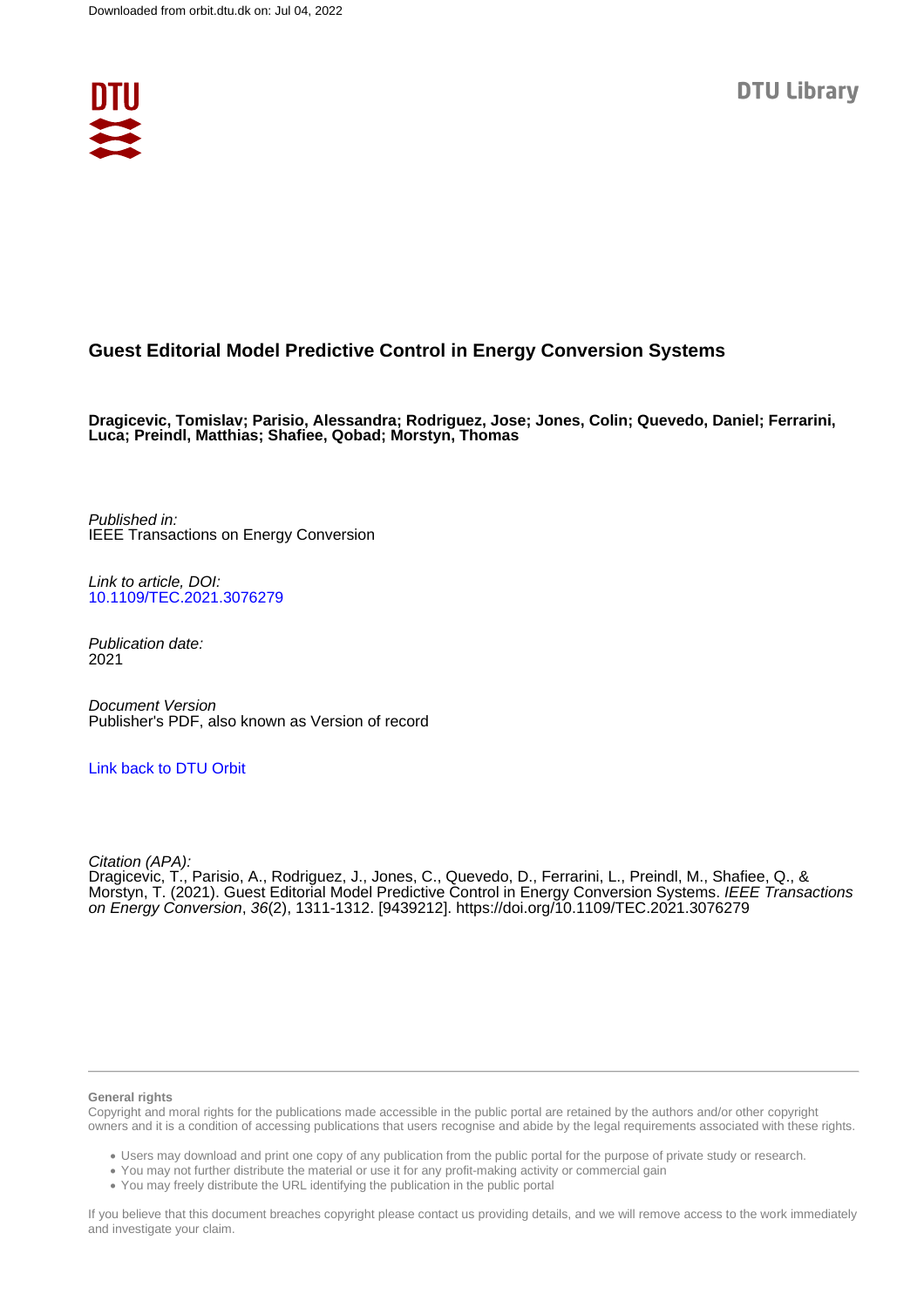

# **Guest Editorial Model Predictive Control in Energy Conversion Systems**

**Dragicevic, Tomislav; Parisio, Alessandra; Rodriguez, Jose; Jones, Colin; Quevedo, Daniel; Ferrarini, Luca; Preindl, Matthias; Shafiee, Qobad; Morstyn, Thomas**

Published in: IEEE Transactions on Energy Conversion

Link to article, DOI: [10.1109/TEC.2021.3076279](https://doi.org/10.1109/TEC.2021.3076279)

Publication date: 2021

Document Version Publisher's PDF, also known as Version of record

## [Link back to DTU Orbit](https://orbit.dtu.dk/en/publications/ceef22b6-37b8-4984-9154-cbd83ef08f99)

Citation (APA):

Dragicevic, T., Parisio, A., Rodriguez, J., Jones, C., Quevedo, D., Ferrarini, L., Preindl, M., Shafiee, Q., & Morstyn, T. (2021). Guest Editorial Model Predictive Control in Energy Conversion Systems. IEEE Transactions on Energy Conversion, 36(2), 1311-1312. [9439212]. <https://doi.org/10.1109/TEC.2021.3076279>

#### **General rights**

Copyright and moral rights for the publications made accessible in the public portal are retained by the authors and/or other copyright owners and it is a condition of accessing publications that users recognise and abide by the legal requirements associated with these rights.

Users may download and print one copy of any publication from the public portal for the purpose of private study or research.

- You may not further distribute the material or use it for any profit-making activity or commercial gain
- You may freely distribute the URL identifying the publication in the public portal

If you believe that this document breaches copyright please contact us providing details, and we will remove access to the work immediately and investigate your claim.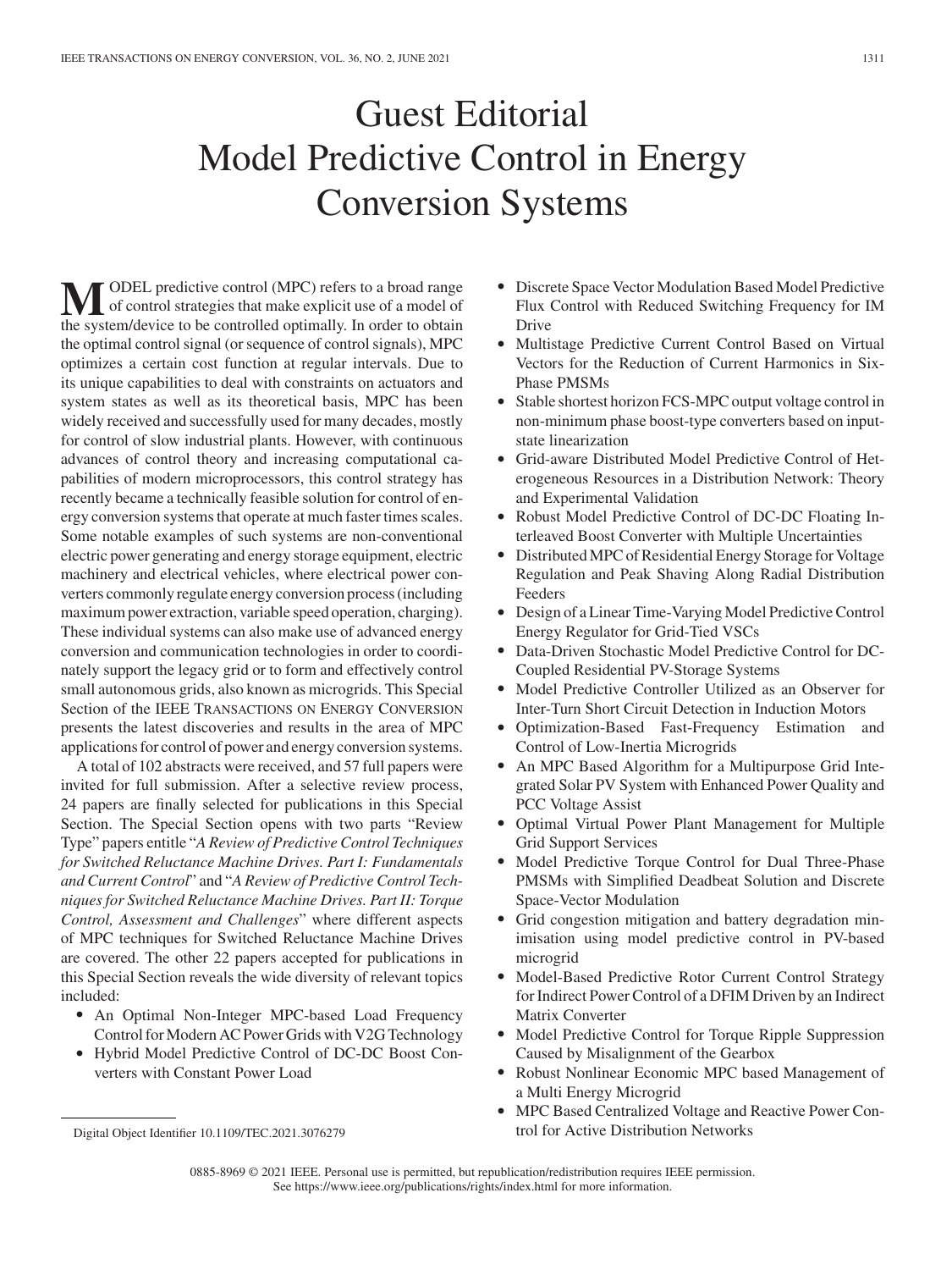# Guest Editorial Model Predictive Control in Energy Conversion Systems

**M** ODEL predictive control (MPC) refers to a broad range<br>of control strategies that make explicit use of a model of<br>the system/devise to be controlled ortimally. In order to obtain the system/device to be controlled optimally. In order to obtain the optimal control signal (or sequence of control signals), MPC optimizes a certain cost function at regular intervals. Due to its unique capabilities to deal with constraints on actuators and system states as well as its theoretical basis, MPC has been widely received and successfully used for many decades, mostly for control of slow industrial plants. However, with continuous advances of control theory and increasing computational capabilities of modern microprocessors, this control strategy has recently became a technically feasible solution for control of energy conversion systems that operate at much faster times scales. Some notable examples of such systems are non-conventional electric power generating and energy storage equipment, electric machinery and electrical vehicles, where electrical power converters commonly regulate energy conversion process (including maximum power extraction, variable speed operation, charging). These individual systems can also make use of advanced energy conversion and communication technologies in order to coordinately support the legacy grid or to form and effectively control small autonomous grids, also known as microgrids. This Special Section of the IEEE TRANSACTIONS ON ENERGY CONVERSION presents the latest discoveries and results in the area of MPC applications for control of power and energy conversion systems.

A total of 102 abstracts were received, and 57 full papers were invited for full submission. After a selective review process, 24 papers are finally selected for publications in this Special Section. The Special Section opens with two parts "Review Type" papers entitle "*A Review of Predictive Control Techniques for Switched Reluctance Machine Drives. Part I: Fundamentals and Current Control*" and "*A Review of Predictive Control Techniques for Switched Reluctance Machine Drives. Part II: Torque Control, Assessment and Challenges*" where different aspects of MPC techniques for Switched Reluctance Machine Drives are covered. The other 22 papers accepted for publications in this Special Section reveals the wide diversity of relevant topics included:

- $\bullet$  An Optimal Non-Integer MPC-based Load Frequency Control for Modern AC Power Grids with V2G Technology
- - Hybrid Model Predictive Control of DC-DC Boost Converters with Constant Power Load
- - Discrete Space Vector Modulation Based Model Predictive Flux Control with Reduced Switching Frequency for IM Drive
- Multistage Predictive Current Control Based on Virtual Vectors for the Reduction of Current Harmonics in Six-Phase PMSMs
- Stable shortest horizon FCS-MPC output voltage control in non-minimum phase boost-type converters based on inputstate linearization
- Grid-aware Distributed Model Predictive Control of Heterogeneous Resources in a Distribution Network: Theory and Experimental Validation
- Robust Model Predictive Control of DC-DC Floating Interleaved Boost Converter with Multiple Uncertainties
- Distributed MPC of Residential Energy Storage for Voltage Regulation and Peak Shaving Along Radial Distribution Feeders
- Design of a Linear Time-Varying Model Predictive Control Energy Regulator for Grid-Tied VSCs
- - Data-Driven Stochastic Model Predictive Control for DC-Coupled Residential PV-Storage Systems
- - Model Predictive Controller Utilized as an Observer for Inter-Turn Short Circuit Detection in Induction Motors
- - Optimization-Based Fast-Frequency Estimation and Control of Low-Inertia Microgrids
- An MPC Based Algorithm for a Multipurpose Grid Integrated Solar PV System with Enhanced Power Quality and PCC Voltage Assist
- Optimal Virtual Power Plant Management for Multiple Grid Support Services
- Model Predictive Torque Control for Dual Three-Phase PMSMs with Simplified Deadbeat Solution and Discrete Space-Vector Modulation
- Grid congestion mitigation and battery degradation minimisation using model predictive control in PV-based microgrid
- - Model-Based Predictive Rotor Current Control Strategy for Indirect Power Control of a DFIM Driven by an Indirect Matrix Converter
- $\bullet$  Model Predictive Control for Torque Ripple Suppression Caused by Misalignment of the Gearbox
- Robust Nonlinear Economic MPC based Management of a Multi Energy Microgrid
- $\bullet$  MPC Based Centralized Voltage and Reactive Power Control for Active Distribution Networks

Digital Object Identifier 10.1109/TEC.2021.3076279

<sup>0885-8969 © 2021</sup> IEEE. Personal use is permitted, but republication/redistribution requires IEEE permission. See https://www.ieee.org/publications/rights/index.html for more information.